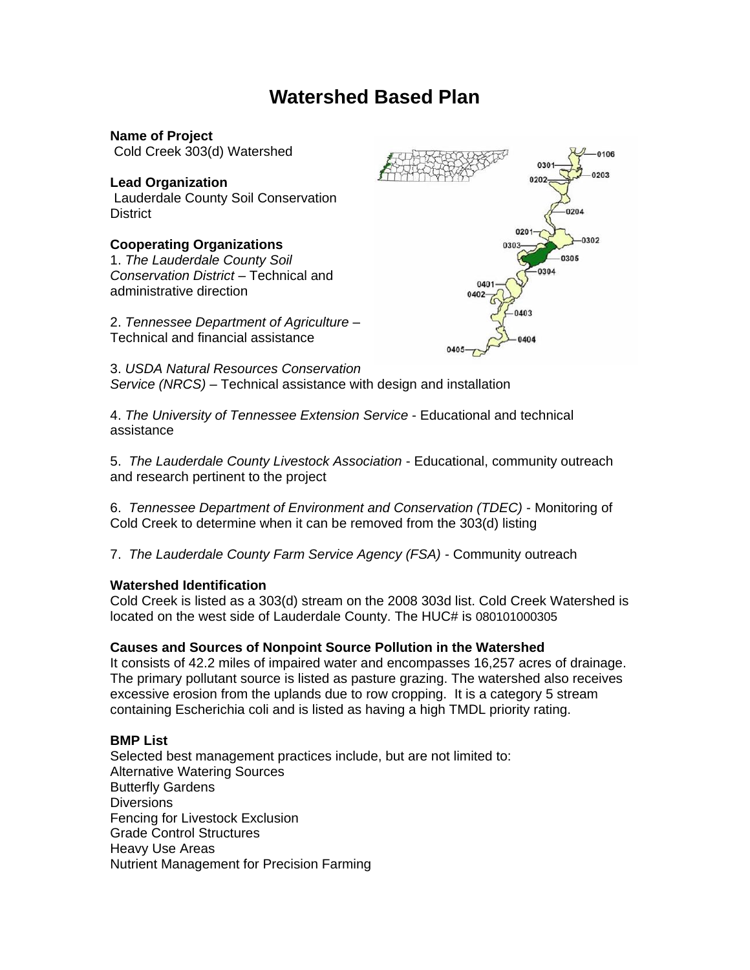# **Watershed Based Plan**

**Name of Project** Cold Creek 303(d) Watershed

## **Lead Organization**

Lauderdale County Soil Conservation District

#### **Cooperating Organizations**

1. *The Lauderdale County Soil Conservation District* – Technical and administrative direction

2. *Tennessee Department of Agriculture* – Technical and financial assistance



3. *USDA Natural Resources Conservation Service (NRCS)* – Technical assistance with design and installation

4. *The University of Tennessee Extension Service* - Educational and technical assistance

5. *The Lauderdale County Livestock Association* - Educational, community outreach and research pertinent to the project

6. *Tennessee Department of Environment and Conservation (TDEC)* - Monitoring of Cold Creek to determine when it can be removed from the 303(d) listing

7. *The Lauderdale County Farm Service Agency (FSA)* - Community outreach

#### **Watershed Identification**

Cold Creek is listed as a 303(d) stream on the 2008 303d list. Cold Creek Watershed is located on the west side of Lauderdale County. The HUC# is 080101000305

#### **Causes and Sources of Nonpoint Source Pollution in the Watershed**

It consists of 42.2 miles of impaired water and encompasses 16,257 acres of drainage. The primary pollutant source is listed as pasture grazing. The watershed also receives excessive erosion from the uplands due to row cropping. It is a category 5 stream containing Escherichia coli and is listed as having a high TMDL priority rating.

#### **BMP List**

Selected best management practices include, but are not limited to: Alternative Watering Sources Butterfly Gardens **Diversions** Fencing for Livestock Exclusion Grade Control Structures Heavy Use Areas Nutrient Management for Precision Farming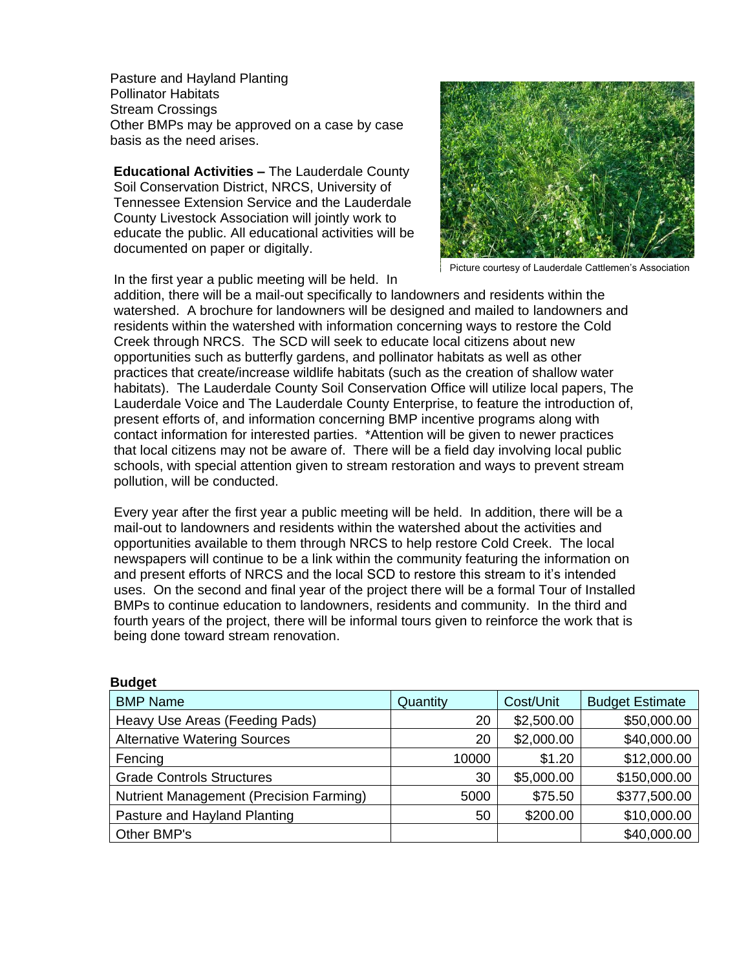Pasture and Hayland Planting Pollinator Habitats Stream Crossings Other BMPs may be approved on a case by case basis as the need arises.

**Educational Activities –** The Lauderdale County Soil Conservation District, NRCS, University of Tennessee Extension Service and the Lauderdale County Livestock Association will jointly work to educate the public. All educational activities will be documented on paper or digitally.



Picture courtesy of Lauderdale Cattlemen's Association

In the first year a public meeting will be held. In

**Budget** 

addition, there will be a mail-out specifically to landowners and residents within the watershed. A brochure for landowners will be designed and mailed to landowners and residents within the watershed with information concerning ways to restore the Cold Creek through NRCS. The SCD will seek to educate local citizens about new opportunities such as butterfly gardens, and pollinator habitats as well as other practices that create/increase wildlife habitats (such as the creation of shallow water habitats). The Lauderdale County Soil Conservation Office will utilize local papers, The Lauderdale Voice and The Lauderdale County Enterprise, to feature the introduction of, present efforts of, and information concerning BMP incentive programs along with contact information for interested parties. \*Attention will be given to newer practices that local citizens may not be aware of. There will be a field day involving local public schools, with special attention given to stream restoration and ways to prevent stream pollution, will be conducted.

Every year after the first year a public meeting will be held. In addition, there will be a mail-out to landowners and residents within the watershed about the activities and opportunities available to them through NRCS to help restore Cold Creek. The local newspapers will continue to be a link within the community featuring the information on and present efforts of NRCS and the local SCD to restore this stream to it's intended uses. On the second and final year of the project there will be a formal Tour of Installed BMPs to continue education to landowners, residents and community. In the third and fourth years of the project, there will be informal tours given to reinforce the work that is being done toward stream renovation.

| suugot                                         |          |            |                        |
|------------------------------------------------|----------|------------|------------------------|
| <b>BMP Name</b>                                | Quantity | Cost/Unit  | <b>Budget Estimate</b> |
| Heavy Use Areas (Feeding Pads)                 | 20       | \$2,500.00 | \$50,000.00            |
| <b>Alternative Watering Sources</b>            | 20       | \$2,000.00 | \$40,000.00            |
| Fencing                                        | 10000    | \$1.20     | \$12,000.00            |
| <b>Grade Controls Structures</b>               | 30       | \$5,000.00 | \$150,000.00           |
| <b>Nutrient Management (Precision Farming)</b> | 5000     | \$75.50    | \$377,500.00           |
| Pasture and Hayland Planting                   | 50       | \$200.00   | \$10,000.00            |
| Other BMP's                                    |          |            | \$40,000.00            |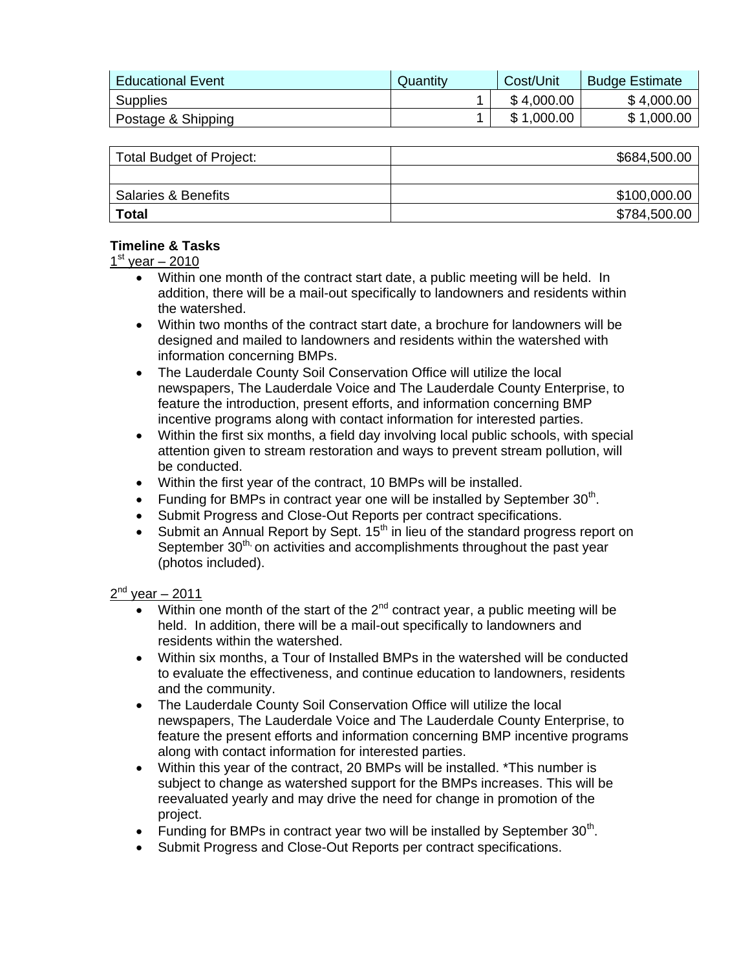| <b>Educational Event</b> | Quantity | Cost/Unit  | <b>Budge Estimate</b> |
|--------------------------|----------|------------|-----------------------|
| <b>Supplies</b>          |          | \$4,000.00 | \$4,000.00            |
| Postage & Shipping       |          | \$1,000.00 | \$1,000.00            |

| Total Budget of Project:       | \$684,500.00 |
|--------------------------------|--------------|
|                                |              |
| <b>Salaries &amp; Benefits</b> | \$100,000.00 |
| <b>Total</b>                   | \$784,500.00 |

### **Timeline & Tasks**

### 1<sup>st</sup> year – 2010

- Within one month of the contract start date, a public meeting will be held. In addition, there will be a mail-out specifically to landowners and residents within the watershed.
- Within two months of the contract start date, a brochure for landowners will be designed and mailed to landowners and residents within the watershed with information concerning BMPs.
- The Lauderdale County Soil Conservation Office will utilize the local newspapers, The Lauderdale Voice and The Lauderdale County Enterprise, to feature the introduction, present efforts, and information concerning BMP incentive programs along with contact information for interested parties.
- Within the first six months, a field day involving local public schools, with special attention given to stream restoration and ways to prevent stream pollution, will be conducted.
- Within the first year of the contract, 10 BMPs will be installed.
- Funding for BMPs in contract year one will be installed by September  $30<sup>th</sup>$ .
- Submit Progress and Close-Out Reports per contract specifications.
- Submit an Annual Report by Sept.  $15<sup>th</sup>$  in lieu of the standard progress report on September  $30<sup>th</sup>$ , on activities and accomplishments throughout the past year (photos included).

#### 2<sup>nd</sup> year – 2011

- Within one month of the start of the  $2<sup>nd</sup>$  contract year, a public meeting will be held. In addition, there will be a mail-out specifically to landowners and residents within the watershed.
- Within six months, a Tour of Installed BMPs in the watershed will be conducted to evaluate the effectiveness, and continue education to landowners, residents and the community.
- The Lauderdale County Soil Conservation Office will utilize the local newspapers, The Lauderdale Voice and The Lauderdale County Enterprise, to feature the present efforts and information concerning BMP incentive programs along with contact information for interested parties.
- Within this year of the contract, 20 BMPs will be installed. \*This number is subject to change as watershed support for the BMPs increases. This will be reevaluated yearly and may drive the need for change in promotion of the project.
- Funding for BMPs in contract year two will be installed by September  $30<sup>th</sup>$ .
- Submit Progress and Close-Out Reports per contract specifications.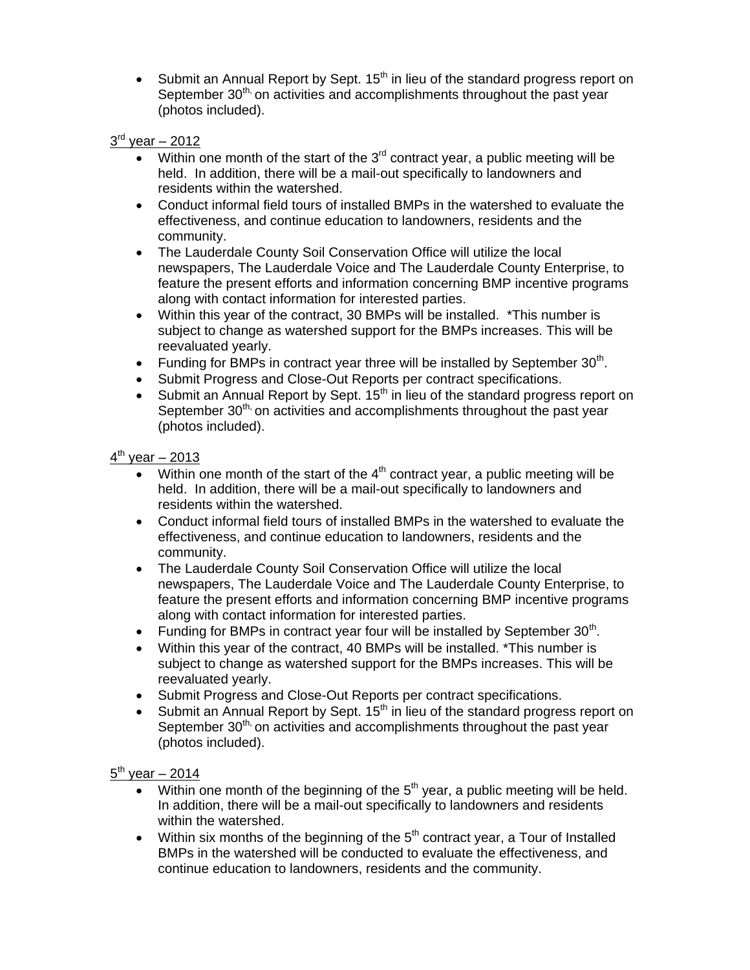Submit an Annual Report by Sept.  $15<sup>th</sup>$  in lieu of the standard progress report on September 30<sup>th,</sup> on activities and accomplishments throughout the past year (photos included).

## 3<sup>rd</sup> year – 2012

- Within one month of the start of the  $3<sup>rd</sup>$  contract year, a public meeting will be held. In addition, there will be a mail-out specifically to landowners and residents within the watershed.
- Conduct informal field tours of installed BMPs in the watershed to evaluate the effectiveness, and continue education to landowners, residents and the community.
- The Lauderdale County Soil Conservation Office will utilize the local newspapers, The Lauderdale Voice and The Lauderdale County Enterprise, to feature the present efforts and information concerning BMP incentive programs along with contact information for interested parties.
- Within this year of the contract, 30 BMPs will be installed. \*This number is subject to change as watershed support for the BMPs increases. This will be reevaluated yearly.
- Funding for BMPs in contract year three will be installed by September  $30<sup>th</sup>$ .
- Submit Progress and Close-Out Reports per contract specifications.
- Submit an Annual Report by Sept. 15<sup>th</sup> in lieu of the standard progress report on September  $30<sup>th</sup>$ , on activities and accomplishments throughout the past year (photos included).

## 4<sup>th</sup> year – 2013

- Within one month of the start of the  $4<sup>th</sup>$  contract year, a public meeting will be held. In addition, there will be a mail-out specifically to landowners and residents within the watershed.
- Conduct informal field tours of installed BMPs in the watershed to evaluate the effectiveness, and continue education to landowners, residents and the community.
- The Lauderdale County Soil Conservation Office will utilize the local newspapers, The Lauderdale Voice and The Lauderdale County Enterprise, to feature the present efforts and information concerning BMP incentive programs along with contact information for interested parties.
- Funding for BMPs in contract year four will be installed by September  $30<sup>th</sup>$ .
- Within this year of the contract, 40 BMPs will be installed. \*This number is subject to change as watershed support for the BMPs increases. This will be reevaluated yearly.
- Submit Progress and Close-Out Reports per contract specifications.
- Submit an Annual Report by Sept.  $15<sup>th</sup>$  in lieu of the standard progress report on September  $30<sup>th</sup>$ , on activities and accomplishments throughout the past year (photos included).

## <u>5<sup>th</sup> year – 2014</u>

- Within one month of the beginning of the  $5<sup>th</sup>$  year, a public meeting will be held. In addition, there will be a mail-out specifically to landowners and residents within the watershed.
- Within six months of the beginning of the  $5<sup>th</sup>$  contract year, a Tour of Installed BMPs in the watershed will be conducted to evaluate the effectiveness, and continue education to landowners, residents and the community.